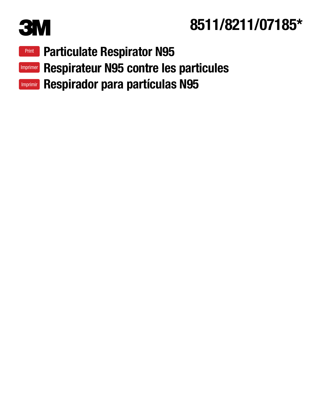

# **3M** 8511/8211/07185\*

- **Print [Particulate Respirator N95](#page-1-0)**
- Imprimer [Respirateur N95 contre les particules](#page-5-0)
- Imprimir [Respirador para partículas N95](#page-9-0)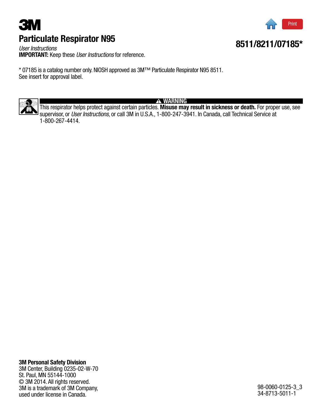## <span id="page-1-0"></span>**3M** Particulate Respirator N95



8511/8211/07185\*

*User Instructions* IMPORTANT: Keep these *User Instructions* for reference.

\* 07185 is a catalog number only. NIOSH approved as 3M™ Particulate Respirator N95 8511. See insert for approval label.



**A WARNING** 

This respirator helps protect against certain particles. Misuse may result in sickness or death. For proper use, see supervisor, or *User Instructions,* or call 3M in U.S.A., 1-800-247-3941. In Canada, call Technical Service at 1-800-267-4414.

#### 3M Personal Safety Division

3M Center, Building 0235-02-W-70 St. Paul, MN 55144-1000 © 3M 2014. All rights reserved. 3M is a trademark of 3M Company, used under license in Canada.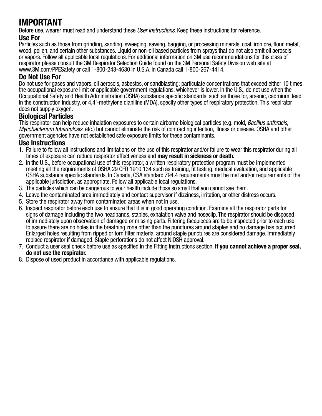### IMPORTANT

Before use, wearer must read and understand these *User Instructions*. Keep these instructions for reference.

#### Use For

Particles such as those from grinding, sanding, sweeping, sawing, bagging, or processing minerals, coal, iron ore, flour, metal, wood, pollen, and certain other substances. Liquid or non-oil based particles from sprays that do not also emit oil aerosols or vapors. Follow all applicable local regulations. For additional information on 3M use recommendations for this class of respirator please consult the 3M Respirator Selection Guide found on the 3M Personal Safety Division web site at www.3M.com/PPESafety or call 1-800-243-4630 in U.S.A. In Canada call 1-800-267-4414.

#### Do Not Use For

Do not use for gases and vapors, oil aerosols, asbestos, or sandblasting; particulate concentrations that exceed either 10 times the occupational exposure limit or applicable government regulations, whichever is lower. In the U.S., do not use when the Occupational Safety and Health Administration (OSHA) substance specific standards, such as those for, arsenic, cadmium, lead in the construction industry, or 4,4'-methylene dianiline (MDA), specify other types of respiratory protection. This respirator does not supply oxygen.

#### Biological Particles

This respirator can help reduce inhalation exposures to certain airborne biological particles (e.g. mold, *Bacillus anthracis, Mycobacterium tuberculosis,* etc.) but cannot eliminate the risk of contracting infection, illness or disease. OSHA and other government agencies have not established safe exposure limits for these contaminants.

#### Use Instructions

- 1. Failure to follow all instructions and limitations on the use of this respirator and/or failure to wear this respirator during all times of exposure can reduce respirator effectiveness and may result in sickness or death.
- 2. In the U.S., before occupational use of this respirator, a written respiratory protection program must be implemented meeting all the requirements of OSHA 29 CFR 1910.134 such as training, fit testing, medical evaluation, and applicable OSHA substance specific standards. In Canada, CSA standard Z94.4 requirements must be met and/or requirements of the applicable jurisdiction, as appropriate. Follow all applicable local regulations.
- 3. The particles which can be dangerous to your health include those so small that you cannot see them.
- 4. Leave the contaminated area immediately and contact supervisor if dizziness, irritation, or other distress occurs.
- 5. Store the respirator away from contaminated areas when not in use.
- 6. Inspect respirator before each use to ensure that it is in good operating condition. Examine all the respirator parts for signs of damage including the two headbands, staples, exhalation valve and noseclip. The respirator should be disposed of immediately upon observation of damaged or missing parts. Filtering facepieces are to be inspected prior to each use to assure there are no holes in the breathing zone other than the punctures around staples and no damage has occurred. Enlarged holes resulting from ripped or torn filter material around staple punctures are considered damage. Immediately replace respirator if damaged. Staple perforations do not affect NIOSH approval.
- 7. Conduct a user seal check before use as specified in the Fitting Instructions section. If you cannot achieve a proper seal, do not use the respirator.
- 8. Dispose of used product in accordance with applicable regulations.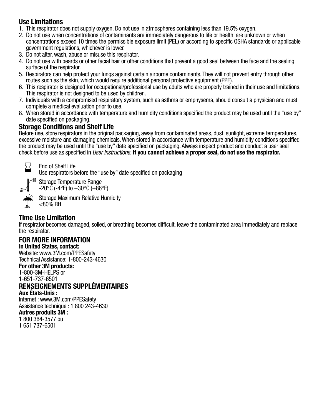#### Use Limitations

- 1. This respirator does not supply oxygen. Do not use in atmospheres containing less than 19.5% oxygen.
- 2. Do not use when concentrations of contaminants are immediately dangerous to life or health, are unknown or when concentrations exceed 10 times the permissible exposure limit (PEL) or according to specific OSHA standards or applicable government regulations, whichever is lower.
- 3. Do not alter, wash, abuse or misuse this respirator.
- 4. Do not use with beards or other facial hair or other conditions that prevent a good seal between the face and the sealing surface of the respirator.
- 5. Respirators can help protect your lungs against certain airborne contaminants, They will not prevent entry through other routes such as the skin, which would require additional personal protective equipment (PPE).
- 6. This respirator is designed for occupational/professional use by adults who are properly trained in their use and limitations. This respirator is not designed to be used by children.
- 7. Individuals with a compromised respiratory system, such as asthma or emphysema, should consult a physician and must complete a medical evaluation prior to use.
- 8. When stored in accordance with temperature and humidity conditions specified the product may be used until the "use by" date specified on packaging.

### Storage Conditions and Shelf Life

Before use, store respirators in the original packaging, away from contaminated areas, dust, sunlight, extreme temperatures, excessive moisture and damaging chemicals. When stored in accordance with temperature and humidity conditions specified the product may be used until the "use by" date specified on packaging. Always inspect product and conduct a user seal check before use as specified in *User Instructions.* If you cannot achieve a proper seal, do not use the respirator.



End of Shelf Life

Use respirators before the "use by" date specified on packaging



**<80%**

**+86˚F +30˚C** Storage Temperature Range  $-20^{\circ}$ C (-4°F) to  $+30^{\circ}$ C (+86°F)

Storage Maximum Relative Humidity <80% RH

#### Time Use Limitation

If respirator becomes damaged, soiled, or breathing becomes difficult, leave the contaminated area immediately and replace the respirator.

### FOR MORE INFORMATION

In United States, contact: Website: www.3M.com/PPESafety Technical Assistance: 1-800-243-4630

#### For other 3M products:

1-800-3M-HELPS or

1-651-737-6501

### RENSEIGNEMENTS SUPPLÉMENTAIRES

Aux États-Unis :

Internet : www.3M.com/PPESafety Assistance technique : 1 800 243-4630

#### Autres produits 3M :

1 800 364-3577 ou 1 651 737-6501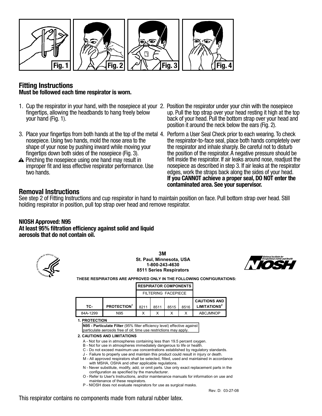

#### Fitting Instructions Must be followed each time respirator is worn.

- 1. Cup the respirator in your hand, with the nosepiece at your 2. Position the respirator under your chin with the nosepiece fingertips, allowing the headbands to hang freely below your hand (Fig. 1).
- 3. Place your fingertips from both hands at the top of the metal 4. Perform a User Seal Check prior to each wearing. To check nosepiece. Using two hands, mold the nose area to the shape of your nose by pushing inward while moving your fingertips down both sides of the nosepiece (Fig. 3).
- A Pinching the nosepiece using one hand may result in improper fit and less effective respirator performance. Use two hands.
- up. Pull the top strap over your head resting it high at the top back of your head. Pull the bottom strap over your head and position it around the neck below the ears (Fig. 2).
- the respirator-to-face seal, place both hands completely over the respirator and inhale sharply. Be careful not to disturb the position of the respirator. A negative pressure should be felt inside the respirator. If air leaks around nose, readjust the nosepiece as described in step 3. If air leaks at the respirator edges, work the straps back along the sides of your head. If you CANNOT achieve a proper seal, DO NOT enter the contaminated area. See your supervisor.

#### Removal Instructions

See step 2 of Fitting Instructions and cup respirator in hand to maintain position on face. Pull bottom strap over head. Still holding respirator in position, pull top strap over head and remove respirator.

#### NIOSH Approved: N95

At least 95% filtration efficiency against solid and liquid aerosols that do not contain oil.



**3M St. Paul, Minnesota, USA 1-800-243-4630 8511 Series Respirators**



**THESE RESPIRATORS ARE APPROVED ONLY IN THE FOLLOWING CONFIGURATIONS:**

#### **RESPIRATOR COMPONENTS**

|                                                 |      | FILTERING FACEPIECE |      |      |                   |          |  |
|-------------------------------------------------|------|---------------------|------|------|-------------------|----------|--|
| <b>CAUTIONS AND</b><br>LIMITATIONS <sup>2</sup> | 8516 | 8515                | 8511 | 8211 | <b>PROTECTION</b> | TC-      |  |
| <b>ABCJMNOP</b>                                 |      |                     |      |      | N95               | 84A-1299 |  |

**1. PROTECTION**

**N95 - Particulate Filter** (95% filter efficiency level) effective against particulate aerosols free of oil; time use restrictions may apply.

- **2. CAUTIONS AND LIMITATIONS**
	- A Not for use in atmospheres containing less than 19.5 percent oxygen.
	- B Not for use in atmospheres immediately dangerous to life or health.
	- C Do not exceed maximum use concentrations established by regulatory standards.
	- J Failure to properly use and maintain this product could result in injury or death.
	- M All approved respirators shall be selected, fitted, used and maintained in accordance with MSHA, OSHA and other applicable regulations.
	- N Never substitute, modify, add, or omit parts. Use only exact replacement parts in the configuration as specified by the manufacturer.
	- O Refer to User's Instructions, and/or maintenance manuals for information on use and maintenance of these respirators.
	- P NIOSH does not evaluate respirators for use as surgical masks.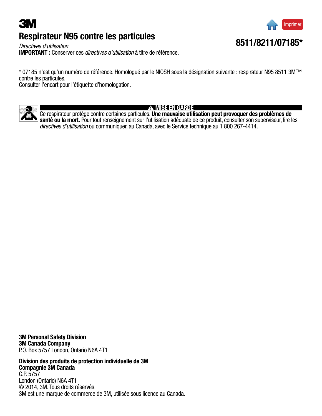### <span id="page-5-0"></span>**3M** Respirateur N95 contre les particules



*Directives d'utilisation* IMPORTANT : Conserver ces *directives d'utilisation* à titre de référence.

\* 07185 n'est qu'un numéro de référence. Homologué par le NIOSH sous la désignation suivante : respirateur N95 8511 3M™ contre les particules.

Consulter l'encart pour l'étiquette d'homologation.



#### **A MISE EN GARDE**

Ce respirateur protège contre certaines particules. Une mauvaise utilisation peut provoquer des problèmes de santé ou la mort. Pour tout renseignement sur l'utilisation adéquate de ce produit, consulter son superviseur, lire les *directives d'utilisation* ou communiquer, au Canada, avec le Service technique au 1 800 267-4414.

3M Personal Safety Division 3M Canada Company P.O. Box 5757 London, Ontario N6A 4T1

Division des produits de protection individuelle de 3M Compagnie 3M Canada C.P. 5757 London (Ontario) N6A 4T1 © 2014, 3M. Tous droits réservés. 3M est une marque de commerce de 3M, utilisée sous licence au Canada.

### 8511/8211/07185\*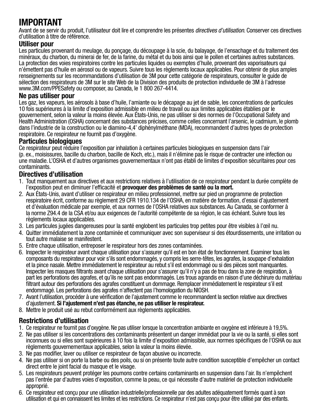### IMPORTANT

Avant de se servir du produit, l'utilisateur doit lire et comprendre les présentes *directives d'utilisation*. Conserver ces directives d'utilisation à titre de référence.

#### Utiliser pour

Les particules provenant du meulage, du ponçage, du découpage à la scie, du balayage, de l'ensachage et du traitement des minéraux, du charbon, du minerai de fer, de la farine, du métal et du bois ainsi que le pollen et certaines autres substances. La protection des voies respiratoires contre les particules liquides ou exemptes d'huile, provenant des vaporisateurs qui n'émettent pas d'huile en aérosol ou de vapeurs. Suivre tous les règlements locaux applicables. Pour obtenir de plus amples renseignements sur les recommandations d'utilisation de 3M pour cette catégorie de respirateurs, consulter le guide de sélection des respirateurs de 3M sur le site Web de la Division des produits de protection individuelle de 3M à l'adresse www.3M.com/PPESafety ou composer, au Canada, le 1 800 267-4414.

#### Ne pas utiliser pour

Les gaz, les vapeurs, les aérosols à base d'huile, l'amiante ou le décapage au jet de sable, les concentrations de particules 10 fois supérieures à la limite d'exposition admissible en milieu de travail ou aux limites applicables établies par le gouvernement, selon la valeur la moins élevée. Aux États-Unis, ne pas utiliser si des normes de l'Occupational Safety and Health Administration (OSHA) concernant des substances précises, comme celles concernant l'arsenic, le cadmium, le plomb dans l'industrie de la construction ou le diamino-4,4' diphénylméthane (MDA), recommandent d'autres types de protection respiratoire. Ce respirateur ne fournit pas d'oxygène.

#### Particules biologiques

Ce respirateur peut réduire l'exposition par inhalation à certaines particules biologiques en suspension dans l'air (p. ex., moisissures, bacille du charbon, bacille de Koch, etc.), mais il n'élimine pas le risque de contracter une infection ou une maladie. L'OSHA et d'autres organismes gouvernementaux n'ont pas établi de limites d'exposition sécuritaires pour ces contaminants.

#### Directives d'utilisation

- 1. Tout manquement aux directives et aux restrictions relatives à l'utilisation de ce respirateur pendant la durée complète de l'exposition peut en diminuer l'efficacité et **provoquer des problèmes de santé ou la mort.**
- 2. Aux États-Unis, avant d'utiliser ce respirateur en milieu professionnel, mettre sur pied un programme de protection respiratoire écrit, conforme au règlement 29 CFR 1910.134 de l'OSHA, en matière de formation, d'essai d'ajustement et d'évaluation médicale par exemple, et aux normes de l'OSHA relatives aux substances. Au Canada, se conformer à la norme Z94.4 de la CSA et/ou aux exigences de l'autorité compétente de sa région, le cas échéant. Suivre tous les règlements locaux applicables.
- 3. Les particules jugées dangereuses pour la santé englobent les particules trop petites pour être visibles à l'œil nu.
- 4. Quitter immédiatement la zone contaminée et communiquer avec son superviseur si des étourdissements, une irritation ou tout autre malaise se manifestent.
- 5. Entre chaque utilisation, entreposer le respirateur hors des zones contaminées.
- 6. Inspecter le respirateur avant chaque utilisation pour s'assurer qu'il est en bon état de fonctionnement. Examiner tous les composants du respirateur pour voir s'ils sont endommagés, y compris les serre-têtes, les agrafes, la soupape d'exhalation et la pince nasale. Mettre immédiatement le respirateur au rebut s'il est endommagé ou si des pièces sont manquantes. Inspecter les masques filtrants avant chaque utilisation pour s'assurer qu'il n'y a pas de trou dans la zone de respiration, à part les perforations des agrafes, et qu'ils ne sont pas endommagés. Les trous agrandis en raison d'une déchirure du matériau filtrant autour des perforations des agrafes constituent un dommage. Remplacer immédiatement le respirateur s'il est endommagé. Les perforations des agrafes n'affectent pas l'homologation du NIOSH.
- 7. Avant l'utilisation, procéder à une vérification de l'ajustement comme le recommandent la section relative aux directives d'ajustement. Si l'ajustement n'est pas étanche, ne pas utiliser le respirateur.
- 8. Mettre le produit usé au rebut conformément aux règlements applicables.

#### Restrictions d'utilisation

- 1. Ce respirateur ne fournit pas d'oxygène. Ne pas utiliser lorsque la concentration ambiante en oxygène est inférieure à 19,5%.
- 2. Ne pas utiliser si les concentrations des contaminants présentent un danger immédiat pour la vie ou la santé, si elles sont inconnues ou si elles sont supérieures à 10 fois la limite d'exposition admissible, aux normes spécifiques de l'OSHA ou aux règlements gouvernementaux applicables, selon la valeur la moins élevée.
- 3. Ne pas modifier, laver ou utiliser ce respirateur de façon abusive ou incorrecte.
- 4. Ne pas utiliser si on porte la barbe ou des poils, ou si on présente toute autre condition susceptible d'empêcher un contact direct entre le joint facial du masque et le visage.
- 5. Les respirateurs peuvent protéger les poumons contre certains contaminants en suspension dans l'air. Ils n'empêchent pas l'entrée par d'autres voies d'exposition, comme la peau, ce qui nécessite d'autre matériel de protection individuelle approprié.
- 6. Ce respirateur est conçu pour une utilisation industrielle/professionnelle par des adultes adéquatement formés quant à son utilisation et qui en connaissent les limites et les restrictions. Ce respirateur n'est pas conçu pour être utilisé par des enfants.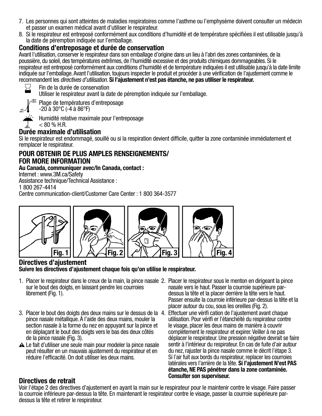- 7. Les personnes qui sont atteintes de maladies respiratoires comme l'asthme ou l'emphysème doivent consulter un médecin et passer un examen médical avant d'utiliser le respirateur.
- 8. Si le respirateur est entreposé conformément aux conditions d'humidité et de température spécifiées il est utilisable jusqu'à la date de péremption indiquée sur l'emballage.

#### Conditions d'entreposage et durée de conservation

Avant l'utilisation, conserver le respirateur dans son emballage d'origine dans un lieu à l'abri des zones contaminées, de la poussière, du soleil, des températures extrêmes, de l'humidité excessive et des produits chimiques dommageables. Si le respirateur est entreposé conformément aux conditions d'humidité et de température indiquées il est utilisable jusqu'à la date limite indiquée sur l'emballage. Avant l'utilisation, toujours inspecter le produit et procéder à une vérification de l'ajustement comme le recommandent les *directives d'utilisation.* Si l'ajustement n'est pas étanche, ne pas utiliser le respirateur.



**-4˚F -20˚C**

Fin de la durée de conservation

Utiliser le respirateur avant la date de péremption indiquée sur l'emballage.

**+86˚F +30˚C** Plage de températures d'entreposage

 $-20$  à  $30^{\circ}$ C ( $-4$  à  $86^{\circ}$ F)

Humidité relative maximale pour l'entreposage



#### **<80%** Durée maximale d'utilisation

Si le respirateur est endommagé, souillé ou si la respiration devient difficile, quitter la zone contaminée immédiatement et remplacer le respirateur.

#### POUR OBTENIR DE PLUS AMPLES RENSEIGNEMENTS/ FOR MORE INFORMATION

#### Au Canada, communiquer avec/In Canada, contact :

Internet : www.3M.ca/Safety

Assistance technique/Technical Assistance :

1 800 267-4414

Centre communication-client/Customer Care Center : 1 800 364-3577



#### Directives d'ajustement Suivre les directives d'ajustement chaque fois qu'on utilise le respirateur.

- 1. Placer le respirateur dans le creux de la main, la pince nasale 2. Placer le respirateur sous le menton en dirigeant la pince sur le bout des doigts, en laissant pendre les courroies librement (Fig. 1).
- 3. Placer le bout des doigts des deux mains sur le dessus de la 4. Effectuer une vérifi cation de l'ajustement avant chaque pince nasale métallique. À l'aide des deux mains, mouler la section nasale à la forme du nez en appuyant sur la pince et en déplaçant le bout des doigts vers le bas des deux côtés de la pince nasale (Fig. 3).
- A Le fait d'utiliser une seule main pour modeler la pince nasale peut résulter en un mauvais ajustement du respirateur et en réduire l'efficacité. On doit utiliser les deux mains.
- nasale vers le haut. Passer la courroie supérieure pardessus la tête et la placer derrière la tête vers le haut. Passer ensuite la courroie inférieure par-dessus la tête et la placer autour du cou, sous les oreilles (Fig. 2).
- utilisation. Pour vérifi er l'étanchéité du respirateur contre le visage, placer les deux mains de manière à couvrir complètement le respirateur et expirer. Veiller à ne pas déplacer le respirateur. Une pression négative devrait se faire sentir à l'intérieur du respirateur. En cas de fuite d'air autour du nez, rajuster la pince nasale comme le décrit l'étape 3. Si l'air fuit aux bords du respirateur, replacer les courroies latérales vers l'arrière de la tête. Si l'ajustement N'est PAS étanche, NE PAS pénétrer dans la zone contaminée. Consulter son superviseur. Directives de retrait

Voir l'étape 2 des directives d'ajustement en ayant la main sur le respirateur pour le maintenir contre le visage. Faire passer la courroie inférieure par-dessus la tête. En maintenant le respirateur contre le visage, passer la courroie supérieure pardessus la tête et retirer le respirateur.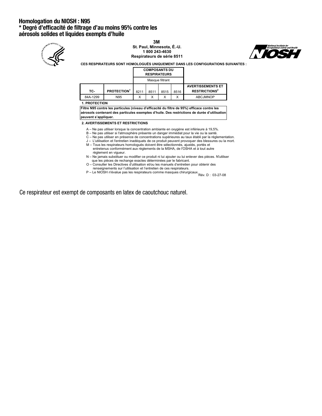#### Homologation du NIOSH : N95 \* Degré d'efficacité de filtrage d'au moins 95% contre les aérosols solides et liquides exempts d'huile



**3M St. Paul, Minnesota, É.-U. 1 800 243-4630 Respirateurs de série 8511**



**CES RESPIRATEURS SONT HOMOLOGUÉS UNIQUEMENT DANS LES CONFIGURATIONS SUIVANTES :**

|          |                         |      |      | <b>COMPOSANTS DU</b><br><b>RESPIRATEURS</b> |      |                                 |
|----------|-------------------------|------|------|---------------------------------------------|------|---------------------------------|
|          |                         |      |      | Masque filtrant                             |      |                                 |
|          |                         |      |      |                                             |      | <b>AVERTISSEMENTS ET</b>        |
| TC-      | PROTECTION <sup>1</sup> | 8211 | 8511 | 8515                                        | 8516 | <b>RESTRICTIONS<sup>2</sup></b> |
| 84A-1299 | N95                     | Χ    |      | x                                           | Х    | <b>ABCJMNOP</b>                 |

**1. PROTECTION**

**Filtre N95 contre les particules (niveau d'efficacité du filtre de 95%) efficace contre les aérosols contenant des particules exemptes d'huile. Des restrictions de durée d'utilisation peuvent s'appliquer.**

**2. AVERTISSEMENTS ET RESTRICTIONS**

- A Ne pas utiliser lorsque la concentration ambiante en oxygène est inférieure à 19,5%.
- B Ne pas utiliser si l'atmosphère présente un danger immédiat pour la vie ou la santé.
- C Ne pas utiliser en présence de concentrations supérieures au taux établi par la réglementation. J – L'utilisation et l'entretien inadéquats de ce produit peuvent provoquer des blessures ou la mort.
- M Tous les respirateurs homologués doivent être sélectionnés, ajustés, portés et entretenus conformément aux règlements de la MSHA, de l'OSHA et à tout autre
- règlement en vigueur. N – Ne jamais substituer ou modifier ce produit ni lui ajouter ou lui enlever des pièces. N'utiliser
- que les pièces de rechange exactes déterminées par le fabricant.
- O Consulter les Directives d'utilisation et/ou les manuels d'entretien pour obtenir des renseignements sur l'utilisation et l'entretien de ces respirateurs.
- P Le NIOSH n'évalue pas les respirateurs comme masques chirurgicaux.<br>Rév. D : 03-27-08

Ce respirateur est exempt de composants en latex de caoutchouc naturel.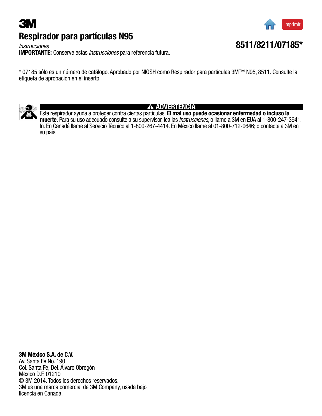## <span id="page-9-0"></span>**3M** Respirador para partículas N95

*Instrucciones* IMPORTANTE: Conserve estas *Instrucciones* para referencia futura.

\* 07185 sólo es un número de catálogo. Aprobado por NIOSH como Respirador para partículas 3M™ N95, 8511. Consulte la etiqueta de aprobación en el inserto.



#### **A ADVERTENCIA**

Este respirador ayuda a proteger contra ciertas partículas. El mal uso puede ocasionar enfermedad o incluso la muerte. Para su uso adecuado consulte a su supervisor, lea las *Instrucciones,* o llame a 3M en EUA al 1-800-247-3941. In. En Canadá llame al Servicio Técnico al 1-800-267-4414. En México llame al 01-800-712-0646; o contacte a 3M en su país.

### 3M México S.A. de C.V.

Av. Santa Fe No. 190 Col. Santa Fe, Del. Álvaro Obregón México D.F. 01210 © 3M 2014. Todos los derechos reservados. 3M es una marca comercial de 3M Company, usada bajo licencia en Canadá.



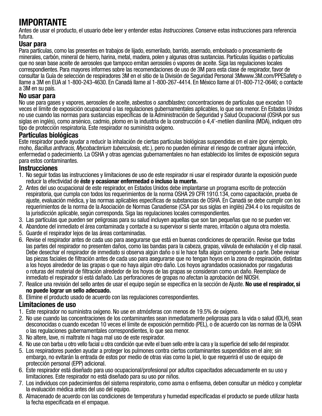### IMPORTANTE

Antes de usar el producto, el usuario debe leer y entender estas *Instrucciones.* Conserve estas instrucciones para referencia futura.

#### Usar para

Para partículas, como las presentes en trabajos de lijado, esmerilado, barrido, aserrado, embolsado o procesamiento de minerales, carbón, mineral de hierro, harina, metal, madera, polen y algunas otras sustancias. Partículas líquidas o partículas que no sean base aceite de aerosoles que tampoco emitan aerosoles o vapores de aceite. Siga las regulaciones locales correspondientes. Para mayores informes sobre las recomendaciones de uso de 3M para esta clase de respirador, favor de consultar la Guía de selección de respiradores 3M en el sitio de la División de Seguridad Personal 3Mwww.3M.com/PPESafety o llame a 3M en EUA al 1-800-243-4630. En Canadá llame al 1-800-267-4414. En México llame al 01-800-712-0646; o contacte a 3M en su país.

#### No usar para

No use para gases y vapores, aerosoles de aceite, asbestos o *sandblasteo;* concentraciones de partículas que excedan 10 veces el límite de exposición ocupacional o las regulaciones gubernamentales aplicables, lo que sea menor. En Estados Unidos no use cuando las normas para sustancias específicas de la Administración de Seguridad y Salud Ocupacional (OSHA por sus siglas en inglés), como arsénico, cadmio, plomo en la industria de la construcción o 4,4'-metilen dianilina (MDA), indiquen otro tipo de protección respiratoria. Este respirador no suministra oxígeno.

#### Partículas biológicas

Este respirador puede ayudar a reducir la inhalación de ciertas partículas biológicas suspendidas en el aire (por ejemplo, moho, *Bacillus anthracis, Mycobacterium tuberculosis,* etc.), pero no pueden eliminar el riesgo de contraer alguna infección, enfermedad o padecimiento. La OSHA y otras agencias gubernamentales no han establecido los límites de exposición segura para estos contaminantes.

#### **Instrucciones**

- 1. No seguir todas las instrucciones y limitaciones de uso de este respirador ni usar el respirador durante la exposición puede reducir la efectividad de éste y ocasionar enfermedad o incluso la muerte.
- 2. Antes del uso ocupacional de este respirador, en Estados Unidos debe implantarse un programa escrito de protección respiratoria, que cumpla con todos los requerimientos de la norma OSHA 29 CFR 1910.134, como capacitación, prueba de ajuste, evaluación médica, y las normas aplicables específicas de substancias de OSHA. En Canadá se debe cumplir con los requerimientos de la norma de la Asociación de Normas Canadiense (CSA por sus siglas en inglés) Z94.4 o los requisitos de la jurisdicción aplicable, según corresponda. Siga las regulaciones locales correspondientes.
- 3. Las partículas que pueden ser peligrosas para su salud incluyen aquellas que son tan pequeñas que no se pueden ver.
- 4. Abandone del inmediato el área contaminada y contacte a su supervisor si siente mareo, irritación o alguna otra molestia.
- 5. Guarde el respirador lejos de las áreas contaminadas.
- 6. Revise el respirador antes de cada uso para asegurarse que está en buenas condiciones de operación. Revise que todas las partes del respirador no presenten daños, como las bandas para la cabeza, grapas, válvula de exhalación y el clip nasal. Debe desechar el respirador de inmediato si observa algún daño o si le hace falta algún componente o parte. Debe revisar las piezas faciales de filtración antes de cada uso para asegurarse que no tengan hoyos en la zona de respiración, distintas a los hoyos alrededor de las grapas o que no haya algún otro daño. Los hoyos agrandados ocasionados por rasgaduras o roturas del material de filtración alrededor de los hoyos de las grapas se consideran como un daño. Reemplace de inmediato el respirador si está dañado. Las perforaciones de grapas no afectan la aprobación del NIOSH.
- 7. Realice una revisión del sello antes de usar el equipo según se especifica en la sección de Ajuste. **No use el respirador, si** no puede lograr un sello adecuado.
- 8. Elimine el producto usado de acuerdo con las regulaciones correspondientes.

#### Limitaciones de uso

- 1. Este respirador no suministra oxígeno. No use en atmósferas con menos de 19.5% de oxígeno.
- 2. No use cuando las concentraciones de los contaminantes sean inmediatamente peligrosas para la vida o salud (IDLH), sean desconocidas o cuando excedan 10 veces el límite de exposición permitido (PEL), o de acuerdo con las normas de la OSHA o las regulaciones gubernamentales correspondientes, lo que sea menor.
- 3. No altere, lave, ni maltrate ni haga mal uso de este respirador.
- 4. No use con barba u otro vello facial u otra condición que evite el buen sello entre la cara y la superficie del sello del respirador.
- 5. Los respiradores pueden ayudar a proteger los pulmones contra ciertos contaminantes suspendidos en el aire; sin embargo, no evitarán la entrada de estos por medio de otras vías como la piel, lo que requerirá el uso de equipo de protección personal (EPP) adicional.
- 6. Este respirador está diseñado para uso ocupacional/profesional por adultos capacitados adecuadamente en su uso y limitaciones. Este respirador no está diseñado para su uso por niños.
- 7. Los individuos con padecimientos del sistema respiratorio, como asma o enfisema, deben consultar un médico y completar la evaluación médica antes del uso del equipo.
- 8. Almacenado de acuerdo con las condiciones de temperatura y humedad especificadas el producto se puede utilizar hasta la fecha especificada en el empaque.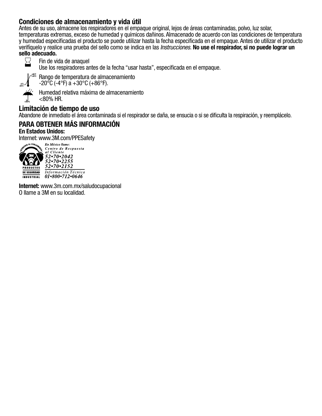#### Condiciones de almacenamiento y vida útil

Antes de su uso, almacene los respiradores en el empaque original, lejos de áreas contaminadas, polvo, luz solar, temperaturas extremas, exceso de humedad y químicos dañinos. Almacenado de acuerdo con las condiciones de temperatura y humedad especificadas el producto se puede utilizar hasta la fecha especificada en el empaque. Antes de utilizar el producto verifíquelo y realice una prueba del sello como se indica en las *Instrucciones.* No use el respirador, si no puede lograr un sello adecuado.



Fin de vida de anaquel

Use los respiradores antes de la fecha "usar hasta", especificada en el empaque.



**+86˚F +30˚C** Rango de temperatura de almacenamiento  $-20\degree$ C (-4 $\degree$ F) a  $+30\degree$ C (+86 $\degree$ F).

**<80%**

Humedad relativa máxima de almacenamiento

#### $<$ 80% HR.

#### Limitación de tiempo de uso

Abandone de inmediato el área contaminada si el respirador se daña, se ensucia o si se dificulta la respiración, y reemplácelo.

#### PARA OBTENER MÁS INFORMACIÓN En Estados Unidos:



 $52 \cdot 70 \cdot 2152$ Información Técnica INDUSTRIAL 01.800.712.0646

Internet: www.3m.com.mx/saludocupacional O llame a 3M en su localidad.